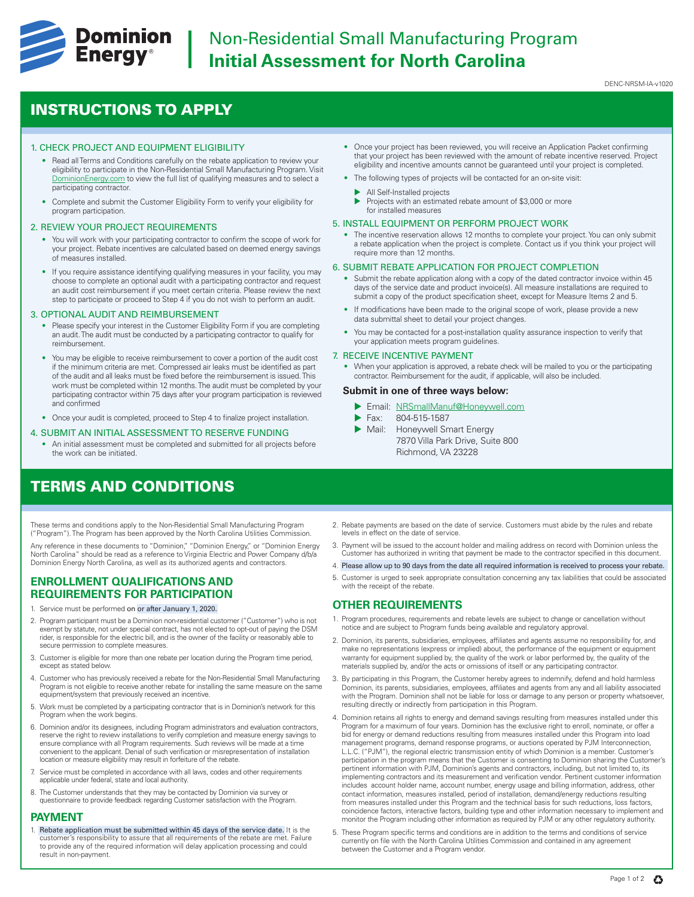

# **Dominion** Non-Residential Small Manufacturing Program **Initial Assessment for North Carolina**

DENC-NRSM-IA-v1020

## INSTRUCTIONS TO APPLY

## 1. CHECK PROJECT AND EQUIPMENT ELIGIBILITY

- Read all Terms and Conditions carefully on the rebate application to review your eligibility to participate in the Non-Residential Small Manufacturing Program. Visit [DominionEnergy.com](https://www.dominionenergy.com) to view the full list of qualifying measures and to select a participating contractor.
- Complete and submit the Customer Eligibility Form to verify your eligibility for program participation.

## 2. REVIEW YOUR PROJECT REQUIREMENTS

- You will work with your participating contractor to confirm the scope of work for your project. Rebate incentives are calculated based on deemed energy savings of measures installed.
- If you require assistance identifying qualifying measures in your facility, you may choose to complete an optional audit with a participating contractor and request an audit cost reimbursement if you meet certain criteria. Please review the next step to participate or proceed to Step 4 if you do not wish to perform an audit.

### 3. OPTIONAL AUDIT AND REIMBURSEMENT

- Please specify your interest in the Customer Eligibility Form if you are completing an audit. The audit must be conducted by a participating contractor to qualify for reimbursement.
- You may be eligible to receive reimbursement to cover a portion of the audit cost if the minimum criteria are met. Compressed air leaks must be identified as part of the audit and all leaks must be fixed before the reimbursement is issued. This work must be completed within 12 months. The audit must be completed by your participating contractor within 75 days after your program participation is reviewed and confirmed
- Once your audit is completed, proceed to Step 4 to finalize project installation.

#### 4. SUBMIT AN INITIAL ASSESSMENT TO RESERVE FUNDING

• An initial assessment must be completed and submitted for all projects before the work can be initiated.

## TERMS AND CONDITIONS

These terms and conditions apply to the Non-Residential Small Manufacturing Program ("Program"). The Program has been approved by the North Carolina Utilities Commission.

Any reference in these documents to "Dominion," "Dominion Energy," or "Dominion Energy North Carolina" should be read as a reference to Virginia Electric and Power Company d/b/a Dominion Energy North Carolina, as well as its authorized agents and contractors.

## **ENROLLMENT QUALIFICATIONS AND REQUIREMENTS FOR PARTICIPATION**

- Service must be performed on or after January 1, 2020.
- 2. Program participant must be a Dominion non-residential customer ("Customer") who is not exempt by statute, not under special contract, has not elected to opt-out of paying the DSM rider, is responsible for the electric bill, and is the owner of the facility or reasonably able to secure permission to complete measures.
- 3. Customer is eligible for more than one rebate per location during the Program time period, except as stated below.
- 4. Customer who has previously received a rebate for the Non-Residential Small Manufacturing Program is not eligible to receive another rebate for installing the same measure on the same equipment/system that previously received an incentive.
- 5. Work must be completed by a participating contractor that is in Dominion's network for this Program when the work begins.
- 6. Dominion and/or its designees, including Program administrators and evaluation contractors, reserve the right to review installations to verify completion and measure energy savings to ensure compliance with all Program requirements. Such reviews will be made at a time convenient to the applicant. Denial of such verification or misrepresentation of installation location or measure eligibility may result in forfeiture of the rebate.
- 7. Service must be completed in accordance with all laws, codes and other requirements applicable under federal, state and local authority.
- 8. The Customer understands that they may be contacted by Dominion via survey or questionnaire to provide feedback regarding Customer satisfaction with the Program.

## **PAYMENT**

1. Rebate application must be submitted within 45 days of the service date. It is the customer's responsibility to assure that all requirements of the rebate are met. Failure to provide any of the required information will delay application processing and could result in non-payment.

- Once your project has been reviewed, you will receive an Application Packet confirming that your project has been reviewed with the amount of rebate incentive reserved. Project eligibility and incentive amounts cannot be guaranteed until your project is completed.
- The following types of projects will be contacted for an on-site visit:
	- All Self-Installed projects
	- $\blacktriangleright$  Projects with an estimated rebate amount of \$3,000 or more for installed measures

### 5. INSTALL EQUIPMENT OR PERFORM PROJECT WORK

• The incentive reservation allows 12 months to complete your project. You can only submit a rebate application when the project is complete. Contact us if you think your project will require more than 12 months.

### 6. SUBMIT REBATE APPLICATION FOR PROJECT COMPLETION

- Submit the rebate application along with a copy of the dated contractor invoice within 45 days of the service date and product invoice(s). All measure installations are required to submit a copy of the product specification sheet, except for Measure Items 2 and 5.
- If modifications have been made to the original scope of work, please provide a new data submittal sheet to detail your project changes.
- You may be contacted for a post-installation quality assurance inspection to verify that your application meets program guidelines.

## 7. RECEIVE INCENTIVE PAYMENT

• When your application is approved, a rebate check will be mailed to you or the participating contractor. Reimbursement for the audit, if applicable, will also be included.

## **Submit in one of three ways below:**

- **Email: NRSmallManuf@Honeywell.com**
- Fax: 804-515-1587
- Mail: Honeywell Smart Energy 7870 Villa Park Drive, Suite 800 Richmond, VA 23228
- 2. Rebate payments are based on the date of service. Customers must abide by the rules and rebate levels in effect on the date of service.
- 3. Payment will be issued to the account holder and mailing address on record with Dominion unless the Customer has authorized in writing that payment be made to the contractor specified in this document.
- 4. Please allow up to 90 days from the date all required information is received to process your rebate.
- 5. Customer is urged to seek appropriate consultation concerning any tax liabilities that could be associated with the receipt of the rebate

## **OTHER REQUIREMENTS**

- 1. Program procedures, requirements and rebate levels are subject to change or cancellation without notice and are subject to Program funds being available and regulatory approval.
- 2. Dominion, its parents, subsidiaries, employees, affiliates and agents assume no responsibility for, and make no representations (express or implied) about, the performance of the equipment or equipment warranty for equipment supplied by, the quality of the work or labor performed by, the quality of the materials supplied by, and/or the acts or omissions of itself or any participating contractor.
- 3. By participating in this Program, the Customer hereby agrees to indemnify, defend and hold harmless Dominion, its parents, subsidiaries, employees, affiliates and agents from any and all liability associated with the Program. Dominion shall not be liable for loss or damage to any person or property whatsoever, resulting directly or indirectly from participation in this Program.
- 4. Dominion retains all rights to energy and demand savings resulting from measures installed under this Program for a maximum of four years. Dominion has the exclusive right to enroll, nominate, or offer a bid for energy or demand reductions resulting from measures installed under this Program into load management programs, demand response programs, or auctions operated by PJM Interconnection, L.L.C. ("PJM"), the regional electric transmission entity of which Dominion is a member. Customer's participation in the program means that the Customer is consenting to Dominion sharing the Customer's pertinent information with PJM, Dominion's agents and contractors, including, but not limited to, its implementing contractors and its measurement and verification vendor. Pertinent customer information includes account holder name, account number, energy usage and billing information, address, other contact information, measures installed, period of installation, demand/energy reductions resulting from measures installed under this Program and the technical basis for such reductions, loss factors, coincidence factors, interactive factors, building type and other information necessary to implement and monitor the Program including other information as required by PJM or any other regulatory authority.
- 5. These Program specific terms and conditions are in addition to the terms and conditions of service currently on file with the North Carolina Utilities Commission and contained in any agreement between the Customer and a Program vendor.